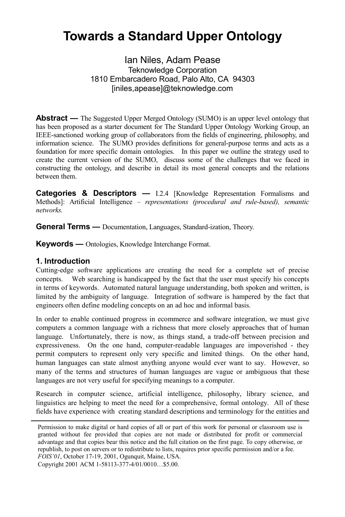# **Towards a Standard Upper Ontology**

Ian Niles, Adam Pease Teknowledge Corporation 1810 Embarcadero Road, Palo Alto, CA 94303 [iniles,apease]@teknowledge.com

**Abstract** — The Suggested Upper Merged Ontology (SUMO) is an upper level ontology that has been proposed as a starter document for The Standard Upper Ontology Working Group, an IEEE-sanctioned working group of collaborators from the fields of engineering, philosophy, and information science. The SUMO provides definitions for general-purpose terms and acts as a foundation for more specific domain ontologies. In this paper we outline the strategy used to create the current version of the SUMO, discuss some of the challenges that we faced in constructing the ontology, and describe in detail its most general concepts and the relations between them.

**Categories & Descriptors —** I.2.4 [Knowledge Representation Formalisms and Methods]: Artificial Intelligence – *representations (procedural and rule-based), semantic networks.* 

**General Terms —** Documentation, Languages, Standard-ization, Theory.

**Keywords —** Ontologies, Knowledge Interchange Format.

#### **1. Introduction**

Cutting-edge software applications are creating the need for a complete set of precise concepts. Web searching is handicapped by the fact that the user must specify his concepts in terms of keywords. Automated natural language understanding, both spoken and written, is limited by the ambiguity of language. Integration of software is hampered by the fact that engineers often define modeling concepts on an ad hoc and informal basis.

In order to enable continued progress in ecommerce and software integration, we must give computers a common language with a richness that more closely approaches that of human language. Unfortunately, there is now, as things stand, a trade-off between precision and expressiveness. On the one hand, computer-readable languages are impoverished - they permit computers to represent only very specific and limited things. On the other hand, human languages can state almost anything anyone would ever want to say. However, so many of the terms and structures of human languages are vague or ambiguous that these languages are not very useful for specifying meanings to a computer.

Research in computer science, artificial intelligence, philosophy, library science, and linguistics are helping to meet the need for a comprehensive, formal ontology. All of these fields have experience with creating standard descriptions and terminology for the entities and

Copyright 2001 ACM 1-58113-377-4/01/0010…\$5.00.

Permission to make digital or hard copies of all or part of this work for personal or classroom use is granted without fee provided that copies are not made or distributed for profit or commercial advantage and that copies bear this notice and the full citation on the first page. To copy otherwise, or republish, to post on servers or to redistribute to lists, requires prior specific permission and/or a fee. *FOIS'01*, October 17-19, 2001, Ogunquit, Maine, USA.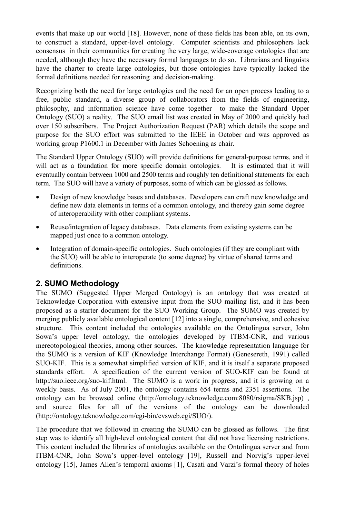events that make up our world [18]. However, none of these fields has been able, on its own, to construct a standard, upper-level ontology. Computer scientists and philosophers lack consensus in their communities for creating the very large, wide-coverage ontologies that are needed, although they have the necessary formal languages to do so. Librarians and linguists have the charter to create large ontologies, but those ontologies have typically lacked the formal definitions needed for reasoning and decision-making.

Recognizing both the need for large ontologies and the need for an open process leading to a free, public standard, a diverse group of collaborators from the fields of engineering, philosophy, and information science have come together to make the Standard Upper Ontology (SUO) a reality. The SUO email list was created in May of 2000 and quickly had over 150 subscribers. The Project Authorization Request (PAR) which details the scope and purpose for the SUO effort was submitted to the IEEE in October and was approved as working group P1600.1 in December with James Schoening as chair.

The Standard Upper Ontology (SUO) will provide definitions for general-purpose terms, and it will act as a foundation for more specific domain ontologies. It is estimated that it will eventually contain between 1000 and 2500 terms and roughly ten definitional statements for each term. The SUO will have a variety of purposes, some of which can be glossed as follows.

- Design of new knowledge bases and databases. Developers can craft new knowledge and define new data elements in terms of a common ontology, and thereby gain some degree of interoperability with other compliant systems.
- Reuse/integration of legacy databases. Data elements from existing systems can be mapped just once to a common ontology.
- Integration of domain-specific ontologies. Such ontologies (if they are compliant with the SUO) will be able to interoperate (to some degree) by virtue of shared terms and definitions.

## **2. SUMO Methodology**

The SUMO (Suggested Upper Merged Ontology) is an ontology that was created at Teknowledge Corporation with extensive input from the SUO mailing list, and it has been proposed as a starter document for the SUO Working Group. The SUMO was created by merging publicly available ontological content [12] into a single, comprehensive, and cohesive structure. This content included the ontologies available on the Ontolingua server, John Sowa's upper level ontology, the ontologies developed by ITBM-CNR, and various mereotopological theories, among other sources. The knowledge representation language for the SUMO is a version of KIF (Knowledge Interchange Format) (Genesereth, 1991) called SUO-KIF. This is a somewhat simplified version of KIF, and it is itself a separate proposed standards effort. A specification of the current version of SUO-KIF can be found at http://suo.ieee.org/suo-kif.html. The SUMO is a work in progress, and it is growing on a weekly basis. As of July 2001, the ontology contains 654 terms and 2351 assertions. The ontology can be browsed online (http://ontology.teknowledge.com:8080/rsigma/SKB.jsp) , and source files for all of the versions of the ontology can be downloaded (http://ontology.teknowledge.com/cgi-bin/cvsweb.cgi/SUO/).

The procedure that we followed in creating the SUMO can be glossed as follows. The first step was to identify all high-level ontological content that did not have licensing restrictions. This content included the libraries of ontologies available on the Ontolingua server and from ITBM-CNR, John Sowa's upper-level ontology [19], Russell and Norvig's upper-level ontology [15], James Allen's temporal axioms [1], Casati and Varzi's formal theory of holes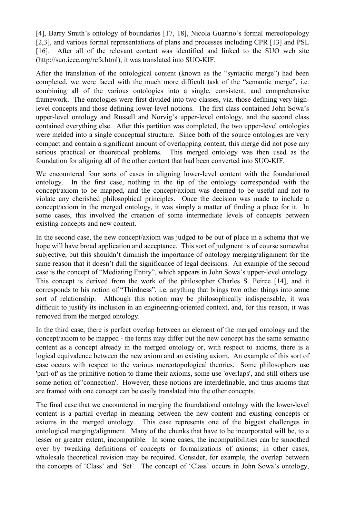[4], Barry Smith's ontology of boundaries [17, 18], Nicola Guarino's formal mereotopology [2,3], and various formal representations of plans and processes including CPR [13] and PSL [16]. After all of the relevant content was identified and linked to the SUO web site (http://suo.ieee.org/refs.html), it was translated into SUO-KIF.

After the translation of the ontological content (known as the "syntactic merge") had been completed, we were faced with the much more difficult task of the "semantic merge", i.e. combining all of the various ontologies into a single, consistent, and comprehensive framework. The ontologies were first divided into two classes, viz. those defining very highlevel concepts and those defining lower-level notions. The first class contained John Sowa's upper-level ontology and Russell and Norvig's upper-level ontology, and the second class contained everything else. After this partition was completed, the two upper-level ontologies were melded into a single conceptual structure. Since both of the source ontologies are very compact and contain a significant amount of overlapping content, this merge did not pose any serious practical or theoretical problems. This merged ontology was then used as the foundation for aligning all of the other content that had been converted into SUO-KIF.

We encountered four sorts of cases in aligning lower-level content with the foundational ontology. In the first case, nothing in the tip of the ontology corresponded with the concept/axiom to be mapped, and the concept/axiom was deemed to be useful and not to violate any cherished philosophical principles. Once the decision was made to include a concept/axiom in the merged ontology, it was simply a matter of finding a place for it. In some cases, this involved the creation of some intermediate levels of concepts between existing concepts and new content.

In the second case, the new concept/axiom was judged to be out of place in a schema that we hope will have broad application and acceptance. This sort of judgment is of course somewhat subjective, but this shouldn't diminish the importance of ontology merging/alignment for the same reason that it doesn't dull the significance of legal decisions. An example of the second case is the concept of "Mediating Entity", which appears in John Sowa's upper-level ontology. This concept is derived from the work of the philosopher Charles S. Peirce [14], and it corresponds to his notion of "Thirdness", i.e. anything that brings two other things into some sort of relationship. Although this notion may be philosophically indispensable, it was difficult to justify its inclusion in an engineering-oriented context, and, for this reason, it was removed from the merged ontology.

In the third case, there is perfect overlap between an element of the merged ontology and the concept/axiom to be mapped - the terms may differ but the new concept has the same semantic content as a concept already in the merged ontology or, with respect to axioms, there is a logical equivalence between the new axiom and an existing axiom. An example of this sort of case occurs with respect to the various mereotopological theories. Some philosophers use 'part-of' as the primitive notion to frame their axioms, some use 'overlaps', and still others use some notion of 'connection'. However, these notions are interdefinable, and thus axioms that are framed with one concept can be easily translated into the other concepts.

The final case that we encountered in merging the foundational ontology with the lower-level content is a partial overlap in meaning between the new content and existing concepts or axioms in the merged ontology. This case represents one of the biggest challenges in ontological merging/alignment. Many of the chunks that have to be incorporated will be, to a lesser or greater extent, incompatible. In some cases, the incompatibilities can be smoothed over by tweaking definitions of concepts or formalizations of axioms; in other cases, wholesale theoretical revision may be required. Consider, for example, the overlap between the concepts of 'Class' and 'Set'. The concept of 'Class' occurs in John Sowa's ontology,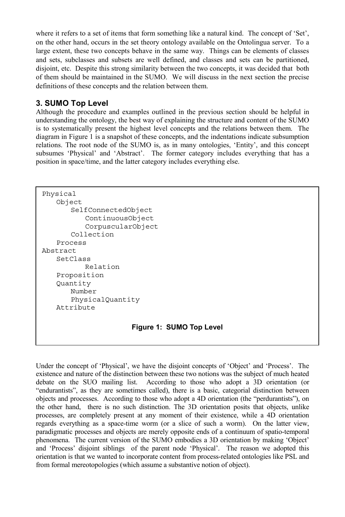where it refers to a set of items that form something like a natural kind. The concept of 'Set', on the other hand, occurs in the set theory ontology available on the Ontolingua server. To a large extent, these two concepts behave in the same way. Things can be elements of classes and sets, subclasses and subsets are well defined, and classes and sets can be partitioned, disjoint, etc. Despite this strong similarity between the two concepts, it was decided that both of them should be maintained in the SUMO. We will discuss in the next section the precise definitions of these concepts and the relation between them.

## **3. SUMO Top Level**

Although the procedure and examples outlined in the previous section should be helpful in understanding the ontology, the best way of explaining the structure and content of the SUMO is to systematically present the highest level concepts and the relations between them. The diagram in Figure 1 is a snapshot of these concepts, and the indentations indicate subsumption relations. The root node of the SUMO is, as in many ontologies, 'Entity', and this concept subsumes 'Physical' and 'Abstract'. The former category includes everything that has a position in space/time, and the latter category includes everything else.

```
Physical 
     Object 
         SelfConnectedObject 
             ContinuousObject 
             CorpuscularObject 
         Collection 
     Process 
Abstract 
     SetClass 
            Relation 
     Proposition 
     Quantity 
         Number 
         PhysicalQuantity 
     Attribute 
                         Figure 1: SUMO Top Level
```
Under the concept of 'Physical', we have the disjoint concepts of 'Object' and 'Process'. The existence and nature of the distinction between these two notions was the subject of much heated debate on the SUO mailing list. According to those who adopt a 3D orientation (or "endurantists", as they are sometimes called), there is a basic, categorial distinction between objects and processes. According to those who adopt a 4D orientation (the "perdurantists"), on the other hand, there is no such distinction. The 3D orientation posits that objects, unlike processes, are completely present at any moment of their existence, while a 4D orientation regards everything as a space-time worm (or a slice of such a worm). On the latter view, paradigmatic processes and objects are merely opposite ends of a continuum of spatio-temporal phenomena. The current version of the SUMO embodies a 3D orientation by making 'Object' and 'Process' disjoint siblings of the parent node 'Physical'. The reason we adopted this orientation is that we wanted to incorporate content from process-related ontologies like PSL and from formal mereotopologies (which assume a substantive notion of object).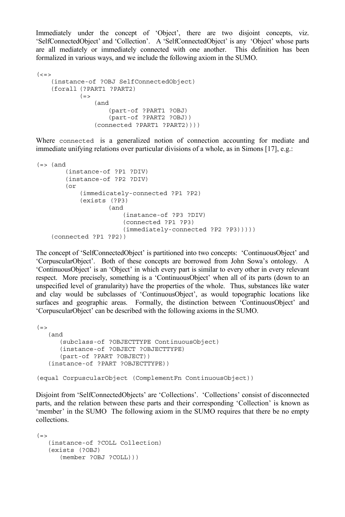Immediately under the concept of 'Object', there are two disjoint concepts, viz. 'SelfConnectedObject' and 'Collection'. A 'SelfConnectedObject' is any 'Object' whose parts are all mediately or immediately connected with one another. This definition has been formalized in various ways, and we include the following axiom in the SUMO.

```
\langle \langle = \rangle(instance-of ?OBJ SelfConnectedObject) 
     (forall (?PART1 ?PART2) 
             (=(and 
                       (part-of ?PART1 ?OBJ) 
                        (part-of ?PART2 ?OBJ)) 
                   (connected ?PART1 ?PART2))))
```
Where connected is a generalized notion of connection accounting for mediate and immediate unifying relations over particular divisions of a whole, as in Simons [17], e.g.:

```
(=> (and(instance-of ?P1 ?DIV) 
         (instance-of ?P2 ?DIV) 
         (or 
            (immedicately-connected ?P1 ?P2) 
             (exists (?P3) 
                    (and 
                        (instance-of ?P3 ?DIV) 
                         (connected ?P1 ?P3) 
                         (immediately-connected ?P2 ?P3))))) 
     (connected ?P1 ?P2))
```
The concept of 'SelfConnectedObject' is partitioned into two concepts: 'ContinuousObject' and 'CorpuscularObject'. Both of these concepts are borrowed from John Sowa's ontology. A 'ContinuousObject' is an 'Object' in which every part is similar to every other in every relevant respect. More precisely, something is a 'ContinuousObject' when all of its parts (down to an unspecified level of granularity) have the properties of the whole. Thus, substances like water and clay would be subclasses of 'ContinuousObject', as would topographic locations like surfaces and geographic areas. Formally, the distinction between 'ContinuousObject' and 'CorpuscularObject' can be described with the following axioms in the SUMO.

```
(=) (and 
       (subclass-of ?OBJECTTYPE ContinuousObject) 
       (instance-of ?OBJECT ?OBJECTTYPE) 
       (part-of ?PART ?OBJECT)) 
    (instance-of ?PART ?OBJECTTYPE)) 
(equal CorpuscularObject (ComplementFn ContinuousObject))
```
Disjoint from 'SelfConnectedObjects' are 'Collections'. 'Collections' consist of disconnected parts, and the relation between these parts and their corresponding 'Collection' is known as 'member' in the SUMO The following axiom in the SUMO requires that there be no empty collections.

```
(=) (instance-of ?COLL Collection) 
    (exists (?OBJ) 
       (member ?OBJ ?COLL)))
```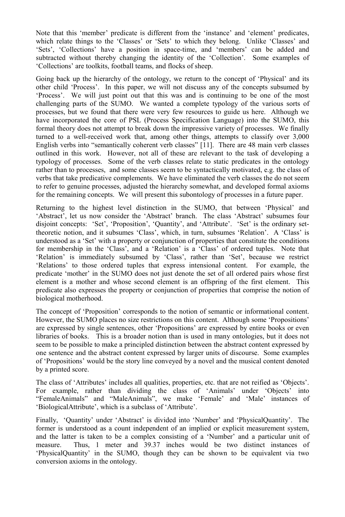Note that this 'member' predicate is different from the 'instance' and 'element' predicates, which relate things to the 'Classes' or 'Sets' to which they belong. Unlike 'Classes' and 'Sets', 'Collections' have a position in space-time, and 'members' can be added and subtracted without thereby changing the identity of the 'Collection'. Some examples of 'Collections' are toolkits, football teams, and flocks of sheep.

Going back up the hierarchy of the ontology, we return to the concept of 'Physical' and its other child 'Process'. In this paper, we will not discuss any of the concepts subsumed by 'Process'. We will just point out that this was and is continuing to be one of the most challenging parts of the SUMO. We wanted a complete typology of the various sorts of processes, but we found that there were very few resources to guide us here. Although we have incorporated the core of PSL (Process Specification Language) into the SUMO, this formal theory does not attempt to break down the impressive variety of processes. We finally turned to a well-received work that, among other things, attempts to classify over 3,000 English verbs into "semantically coherent verb classes" [11]. There are 48 main verb classes outlined in this work. However, not all of these are relevant to the task of developing a typology of processes. Some of the verb classes relate to static predicates in the ontology rather than to processes, and some classes seem to be syntactically motivated, e.g. the class of verbs that take predicative complements. We have eliminated the verb classes the do not seem to refer to genuine processes, adjusted the hierarchy somewhat, and developed formal axioms for the remaining concepts. We will present this subontology of processes in a future paper.

Returning to the highest level distinction in the SUMO, that between 'Physical' and 'Abstract', let us now consider the 'Abstract' branch. The class 'Abstract' subsumes four disjoint concepts: 'Set', 'Proposition', 'Quantity', and 'Attribute'. 'Set' is the ordinary settheoretic notion, and it subsumes 'Class', which, in turn, subsumes 'Relation'. A 'Class' is understood as a 'Set' with a property or conjunction of properties that constitute the conditions for membership in the 'Class', and a 'Relation' is a 'Class' of ordered tuples. Note that 'Relation' is immediately subsumed by 'Class', rather than 'Set', because we restrict 'Relations' to those ordered tuples that express intensional content. For example, the predicate 'mother' in the SUMO does not just denote the set of all ordered pairs whose first element is a mother and whose second element is an offspring of the first element. This predicate also expresses the property or conjunction of properties that comprise the notion of biological motherhood.

The concept of 'Proposition' corresponds to the notion of semantic or informational content. However, the SUMO places no size restrictions on this content. Although some 'Propositions' are expressed by single sentences, other 'Propositions' are expressed by entire books or even libraries of books. This is a broader notion than is used in many ontologies, but it does not seem to be possible to make a principled distinction between the abstract content expressed by one sentence and the abstract content expressed by larger units of discourse. Some examples of 'Propositions' would be the story line conveyed by a novel and the musical content denoted by a printed score.

The class of 'Attributes' includes all qualities, properties, etc. that are not reified as 'Objects'. For example, rather than dividing the class of 'Animals' under 'Objects' into "FemaleAnimals" and "MaleAnimals", we make 'Female' and 'Male' instances of 'BiologicalAttribute', which is a subclass of 'Attribute'.

Finally, 'Quantity' under 'Abstract' is divided into 'Number' and 'PhysicalQuantity'. The former is understood as a count independent of an implied or explicit measurement system, and the latter is taken to be a complex consisting of a 'Number' and a particular unit of measure. Thus, 1 meter and 39.37 inches would be two distinct instances of 'PhysicalQuantity' in the SUMO, though they can be shown to be equivalent via two conversion axioms in the ontology.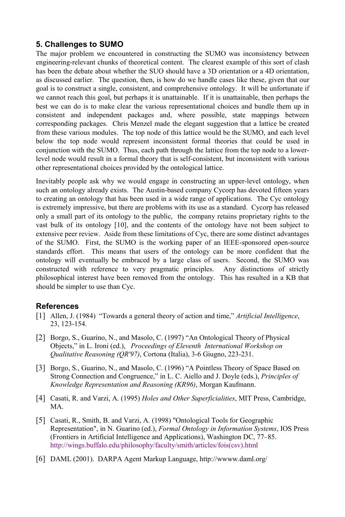## **5. Challenges to SUMO**

The major problem we encountered in constructing the SUMO was inconsistency between engineering-relevant chunks of theoretical content. The clearest example of this sort of clash has been the debate about whether the SUO should have a 3D orientation or a 4D orientation, as discussed earlier. The question, then, is how do we handle cases like these, given that our goal is to construct a single, consistent, and comprehensive ontology. It will be unfortunate if we cannot reach this goal, but perhaps it is unattainable. If it is unattainable, then perhaps the best we can do is to make clear the various representational choices and bundle them up in consistent and independent packages and, where possible, state mappings between corresponding packages. Chris Menzel made the elegant suggestion that a lattice be created from these various modules. The top node of this lattice would be the SUMO, and each level below the top node would represent inconsistent formal theories that could be used in conjunction with the SUMO. Thus, each path through the lattice from the top node to a lowerlevel node would result in a formal theory that is self-consistent, but inconsistent with various other representational choices provided by the ontological lattice.

Inevitably people ask why we would engage in constructing an upper-level ontology, when such an ontology already exists. The Austin-based company Cycorp has devoted fifteen years to creating an ontology that has been used in a wide range of applications. The Cyc ontology is extremely impressive, but there are problems with its use as a standard. Cycorp has released only a small part of its ontology to the public, the company retains proprietary rights to the vast bulk of its ontology [10], and the contents of the ontology have not been subject to extensive peer review. Aside from these limitations of Cyc, there are some distinct advantages of the SUMO. First, the SUMO is the working paper of an IEEE-sponsored open-source standards effort. This means that users of the ontology can be more confident that the ontology will eventually be embraced by a large class of users. Second, the SUMO was constructed with reference to very pragmatic principles. Any distinctions of strictly philosophical interest have been removed from the ontology. This has resulted in a KB that should be simpler to use than Cyc.

### **References**

- [1] Allen, J. (1984) "Towards a general theory of action and time," *Artificial Intelligence*, 23, 123-154.
- [2] Borgo, S., Guarino, N., and Masolo, C. (1997) "An Ontological Theory of Physical Objects," in L. Ironi (ed.), *Proceedings of Eleventh International Workshop on Qualitative Reasoning (QR'97)*, Cortona (Italia), 3-6 Giugno, 223-231.
- [3] Borgo, S., Guarino, N., and Masolo, C. (1996) "A Pointless Theory of Space Based on Strong Connection and Congruence," in L. C. Aiello and J. Doyle (eds.), *Principles of Knowledge Representation and Reasoning (KR96)*, Morgan Kaufmann.
- [4] Casati, R. and Varzi, A. (1995) *Holes and Other Superficialities*, MIT Press, Cambridge, MA.
- [5] Casati, R., Smith, B. and Varzi, A. (1998) "Ontological Tools for Geographic Representation", in N. Guarino (ed.), *Formal Ontology in Information Systems*, IOS Press (Frontiers in Artificial Intelligence and Applications), Washington DC, 77–85. http://wings.buffalo.edu/philosophy/faculty/smith/articles/fois(csv).html
- [6] DAML (2001). DARPA Agent Markup Language, http://wwww.daml.org/